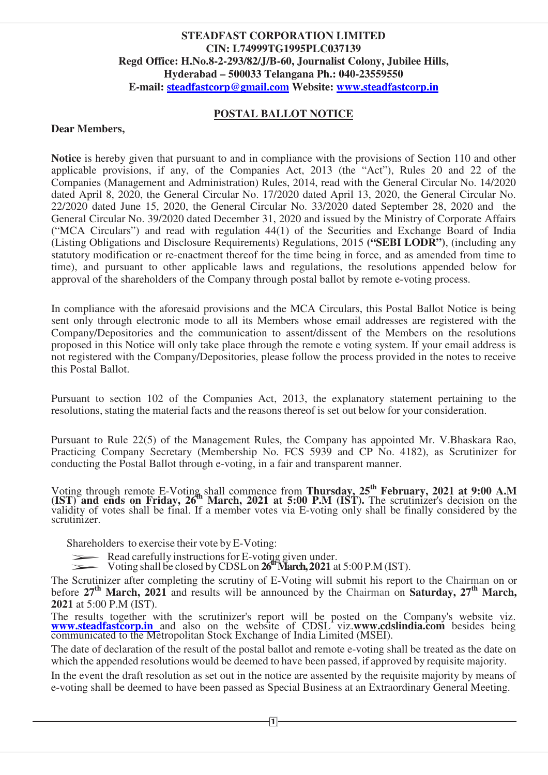## **STEADFAST CORPORATION LIMITED CIN: L74999TG1995PLC037139 Regd Office: H.No.8-2-293/82/J/B-60, Journalist Colony, Jubilee Hills, Hyderabad – 500033 Telangana Ph.: 040-23559550 E-mail: steadfastcorp@gmail.com Website: www.steadfastcorp.in**

## **POSTAL BALLOT NOTICE**

#### **Dear Members,**

**Notice** is hereby given that pursuant to and in compliance with the provisions of Section 110 and other applicable provisions, if any, of the Companies Act, 2013 (the "Act"), Rules 20 and 22 of the Companies (Management and Administration) Rules, 2014, read with the General Circular No. 14/2020 dated April 8, 2020, the General Circular No. 17/2020 dated April 13, 2020, the General Circular No. 22/2020 dated June 15, 2020, the General Circular No. 33/2020 dated September 28, 2020 and the General Circular No. 39/2020 dated December 31, 2020 and issued by the Ministry of Corporate Affairs ("MCA Circulars") and read with regulation 44(1) of the Securities and Exchange Board of India (Listing Obligations and Disclosure Requirements) Regulations, 2015 **("SEBI LODR")**, (including any statutory modification or re-enactment thereof for the time being in force, and as amended from time to time), and pursuant to other applicable laws and regulations, the resolutions appended below for approval of the shareholders of the Company through postal ballot by remote e-voting process.

In compliance with the aforesaid provisions and the MCA Circulars, this Postal Ballot Notice is being sent only through electronic mode to all its Members whose email addresses are registered with the Company/Depositories and the communication to assent/dissent of the Members on the resolutions proposed in this Notice will only take place through the remote e voting system. If your email address is not registered with the Company/Depositories, please follow the process provided in the notes to receive this Postal Ballot.

Pursuant to section 102 of the Companies Act, 2013, the explanatory statement pertaining to the resolutions, stating the material facts and the reasons thereof is set out below for your consideration.

Pursuant to Rule 22(5) of the Management Rules, the Company has appointed Mr. V.Bhaskara Rao, Practicing Company Secretary (Membership No. FCS 5939 and CP No. 4182), as Scrutinizer for conducting the Postal Ballot through e-voting, in a fair and transparent manner.

Voting through remote E-Voting shall commence from **Thursday, 25th February, 2021 at 9:00 A.M (IST) and ends on Friday, 26th March, 2021 at 5:00 P.M (IST).** The scrutinizer's decision on the validity of votes shall be final. If a member votes via E-voting only shall be finally considered by the scrutinizer.

 Shareholders to exercise their vote by E-Voting: Shareho<sup>1</sup>

Itinizer.<br>Shareholders to exercise their vote by E-Voting:<br>Read carefully instructions for E-voting given under.

Voting shall be closed by CDSL on **26th March, 2021** at 5:00 P.M (IST).

The Scrutinizer after completing the scrutiny of E-Voting will submit his report to the Chairman on or before **27th March, 2021** and results will be announced by the Chairman on **Saturday, 27th March, 2021** at 5:00 P.M (IST).

The results together with the scrutinizer's report will be posted on the Company's website viz. **www.steadfastcorp.in** and also on the website of CDSL viz.**www.cdslindia.com** besides being communicated to the Metropolitan Stock Exchange of India Limited (MSEI).

The date of declaration of the result of the postal ballot and remote e-voting shall be treated as the date on which the appended resolutions would be deemed to have been passed, if approved by requisite majority.

In the event the draft resolution as set out in the notice are assented by the requisite majority by means of e-voting shall be deemed to have been passed as Special Business at an Extraordinary General Meeting.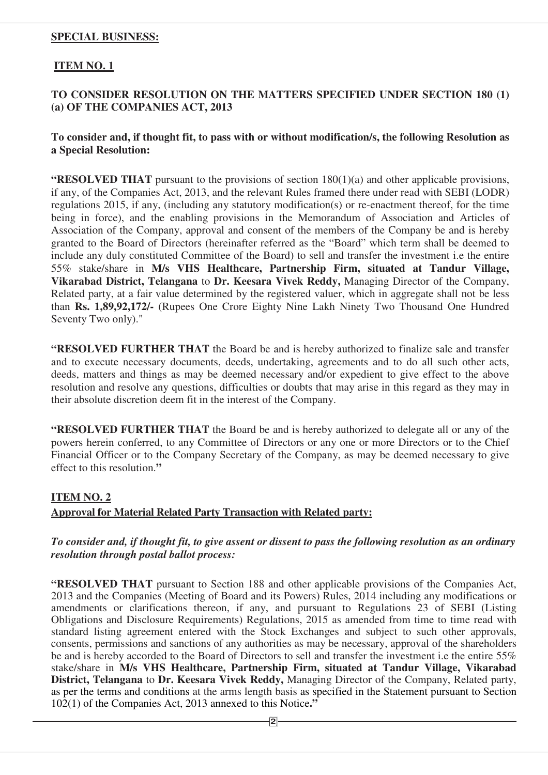## **SPECIAL BUSINESS:**

## **ITEM NO. 1**

## **TO CONSIDER RESOLUTION ON THE MATTERS SPECIFIED UNDER SECTION 180 (1) (a) OF THE COMPANIES ACT, 2013**

## **To consider and, if thought fit, to pass with or without modification/s, the following Resolution as a Special Resolution:**

**"RESOLVED THAT** pursuant to the provisions of section 180(1)(a) and other applicable provisions, if any, of the Companies Act, 2013, and the relevant Rules framed there under read with SEBI (LODR) regulations 2015, if any, (including any statutory modification(s) or re-enactment thereof, for the time being in force), and the enabling provisions in the Memorandum of Association and Articles of Association of the Company, approval and consent of the members of the Company be and is hereby granted to the Board of Directors (hereinafter referred as the "Board" which term shall be deemed to include any duly constituted Committee of the Board) to sell and transfer the investment i.e the entire 55% stake/share in **M/s VHS Healthcare, Partnership Firm, situated at Tandur Village, Vikarabad District, Telangana** to **Dr. Keesara Vivek Reddy,** Managing Director of the Company, Related party, at a fair value determined by the registered valuer, which in aggregate shall not be less than **Rs. 1,89,92,172/-** (Rupees One Crore Eighty Nine Lakh Ninety Two Thousand One Hundred Seventy Two only)."

**"RESOLVED FURTHER THAT** the Board be and is hereby authorized to finalize sale and transfer and to execute necessary documents, deeds, undertaking, agreements and to do all such other acts, deeds, matters and things as may be deemed necessary and/or expedient to give effect to the above resolution and resolve any questions, difficulties or doubts that may arise in this regard as they may in their absolute discretion deem fit in the interest of the Company.

**"RESOLVED FURTHER THAT** the Board be and is hereby authorized to delegate all or any of the powers herein conferred, to any Committee of Directors or any one or more Directors or to the Chief Financial Officer or to the Company Secretary of the Company, as may be deemed necessary to give effect to this resolution.**"** 

## **ITEM NO. 2**

## **Approval for Material Related Party Transaction with Related party:**

## *To consider and, if thought fit, to give assent or dissent to pass the following resolution as an ordinary resolution through postal ballot process:*

**"RESOLVED THAT** pursuant to Section 188 and other applicable provisions of the Companies Act, 2013 and the Companies (Meeting of Board and its Powers) Rules, 2014 including any modifications or amendments or clarifications thereon, if any, and pursuant to Regulations 23 of SEBI (Listing Obligations and Disclosure Requirements) Regulations, 2015 as amended from time to time read with standard listing agreement entered with the Stock Exchanges and subject to such other approvals, consents, permissions and sanctions of any authorities as may be necessary, approval of the shareholders be and is hereby accorded to the Board of Directors to sell and transfer the investment i.e the entire 55% stake/share in **M/s VHS Healthcare, Partnership Firm, situated at Tandur Village, Vikarabad District, Telangana** to **Dr. Keesara Vivek Reddy,** Managing Director of the Company, Related party, as per the terms and conditions at the arms length basis as specified in the Statement pursuant to Section 102(1) of the Companies Act, 2013 annexed to this Notice**."**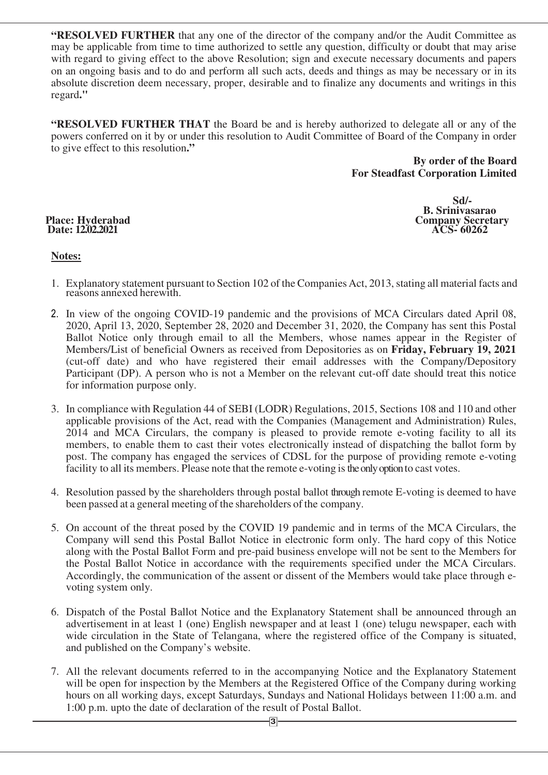**"RESOLVED FURTHER** that any one of the director of the company and/or the Audit Committee as may be applicable from time to time authorized to settle any question, difficulty or doubt that may arise with regard to giving effect to the above Resolution; sign and execute necessary documents and papers on an ongoing basis and to do and perform all such acts, deeds and things as may be necessary or in its absolute discretion deem necessary, proper, desirable and to finalize any documents and writings in this regard**."** 

**"RESOLVED FURTHER THAT** the Board be and is hereby authorized to delegate all or any of the powers conferred on it by or under this resolution to Audit Committee of Board of the Company in order to give effect to this resolution**."** 

> **By order of the Board For Steadfast Corporation Limited**

# **Date: 12.02.2021**

 **Sd/- B. Srinivasarao Company Secretary ACS-60262** 

## **Notes:**

- 1. Explanatory statement pursuant to Section 102 of the Companies Act, 2013, stating all material facts and reasons annexed herewith.
- 2. In view of the ongoing COVID-19 pandemic and the provisions of MCA Circulars dated April 08, 2020, April 13, 2020, September 28, 2020 and December 31, 2020, the Company has sent this Postal Ballot Notice only through email to all the Members, whose names appear in the Register of Members/List of beneficial Owners as received from Depositories as on **Friday, February 19, 2021**  (cut-off date) and who have registered their email addresses with the Company/Depository Participant (DP). A person who is not a Member on the relevant cut-off date should treat this notice for information purpose only.
- 3. In compliance with Regulation 44 of SEBI (LODR) Regulations, 2015, Sections 108 and 110 and other applicable provisions of the Act, read with the Companies (Management and Administration) Rules, 2014 and MCA Circulars, the company is pleased to provide remote e-voting facility to all its members, to enable them to cast their votes electronically instead of dispatching the ballot form by post. The company has engaged the services of CDSL for the purpose of providing remote e-voting facility to all its members. Please note that the remote e-voting is the only option to cast votes.
- 4. Resolution passed by the shareholders through postal ballot through remote E-voting is deemed to have been passed at a general meeting of the shareholders of the company.
- 5. On account of the threat posed by the COVID 19 pandemic and in terms of the MCA Circulars, the Company will send this Postal Ballot Notice in electronic form only. The hard copy of this Notice along with the Postal Ballot Form and pre-paid business envelope will not be sent to the Members for the Postal Ballot Notice in accordance with the requirements specified under the MCA Circulars. Accordingly, the communication of the assent or dissent of the Members would take place through evoting system only.
- 6. Dispatch of the Postal Ballot Notice and the Explanatory Statement shall be announced through an advertisement in at least 1 (one) English newspaper and at least 1 (one) telugu newspaper, each with wide circulation in the State of Telangana, where the registered office of the Company is situated, and published on the Company's website.
- 7. All the relevant documents referred to in the accompanying Notice and the Explanatory Statement will be open for inspection by the Members at the Registered Office of the Company during working hours on all working days, except Saturdays, Sundays and National Holidays between 11:00 a.m. and 1:00 p.m. upto the date of declaration of the result of Postal Ballot.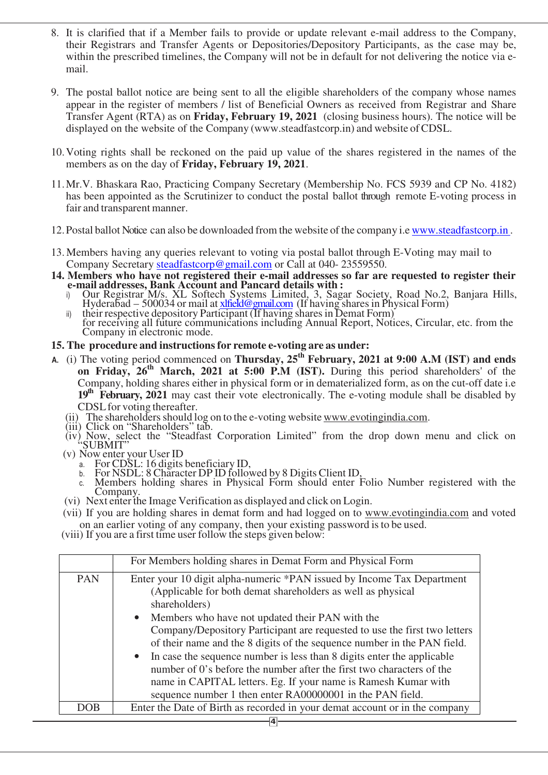- 8. It is clarified that if a Member fails to provide or update relevant e-mail address to the Company, their Registrars and Transfer Agents or Depositories/Depository Participants, as the case may be, within the prescribed timelines, the Company will not be in default for not delivering the notice via email.
- 9. The postal ballot notice are being sent to all the eligible shareholders of the company whose names appear in the register of members / list of Beneficial Owners as received from Registrar and Share Transfer Agent (RTA) as on **Friday, February 19, 2021** (closing business hours). The notice will be displayed on the website of the Company (www.steadfastcorp.in) and website of CDSL.
- 10.Voting rights shall be reckoned on the paid up value of the shares registered in the names of the members as on the day of **Friday, February 19, 2021**.
- 11.Mr.V. Bhaskara Rao, Practicing Company Secretary (Membership No. FCS 5939 and CP No. 4182) has been appointed as the Scrutinizer to conduct the postal ballot through remote E-voting process in fair and transparent manner.
- 12.Postal ballot Notice can also be downloaded from the website of the company i.e www.steadfastcorp.in .
- 13. Members having any queries relevant to voting via postal ballot through E-Voting may mail to Company Secretary steadfastcorp@gmail.com or Call at 040-23559550.
- **14. Members who have not registered their e-mail addresses so far are requested to register their e-mail addresses, Bank Account and Pancard details with :** 
	- i) Our Registrar M/s. XL Softech Systems Limited, 3, Sagar Society, Road No.2, Banjara Hills, Hyderabad – 500034 or mail at <u>xlfield@gmail.com</u> (If having shares in Physical Form)
	- ii) their respective depository Participant (If having shares in Demat Form) for receiving all future communications including Annual Report, Notices, Circular, etc. from the Company in electronic mode.

## **15. The procedure and instructions for remote e-voting are as under:**

- **A.** (i) The voting period commenced on **Thursday, 25th February, 2021 at 9:00 A.M (IST) and ends on Friday, 26th March, 2021 at 5:00 P.M (IST).** During this period shareholders' of the Company, holding shares either in physical form or in dematerialized form, as on the cut-off date i.e **19th February, 2021** may cast their vote electronically. The e-voting module shall be disabled by CDSL for voting thereafter.
	- (ii) The shareholders should log on to the e-voting website www.evotingindia.com.
	- (iii) Click on "Shareholders" tab.
	- (iv) Now, select the "Steadfast Corporation Limited" from the drop down menu and click on "SUBMIT"
	- (v) Now enter your User ID
		- a. For CDSL: 16 digits beneficiary ID, b. For NSDL: 8 Character DP ID followed by 8 Digits Client ID,
		- Members holding shares in Physical Form should enter Folio Number registered with the Company.
	- (vi) Next enter the Image Verification as displayed and click on Login.
	- (vii) If you are holding shares in demat form and had logged on to www.evotingindia.com and voted on an earlier voting of any company, then your existing password is to be used.
	- (viii) If you are a first time user follow the steps given below:

|            | For Members holding shares in Demat Form and Physical Form                                                                                                                                                          |
|------------|---------------------------------------------------------------------------------------------------------------------------------------------------------------------------------------------------------------------|
| <b>PAN</b> | Enter your 10 digit alpha-numeric *PAN issued by Income Tax Department<br>(Applicable for both demat shareholders as well as physical<br>shareholders)                                                              |
|            | • Members who have not updated their PAN with the<br>Company/Depository Participant are requested to use the first two letters<br>of their name and the 8 digits of the sequence number in the PAN field.           |
|            | • In case the sequence number is less than 8 digits enter the applicable<br>number of 0's before the number after the first two characters of the<br>name in CAPITAL letters. Eg. If your name is Ramesh Kumar with |
|            | sequence number 1 then enter RA00000001 in the PAN field.                                                                                                                                                           |
| <b>DOB</b> | Enter the Date of Birth as recorded in your demat account or in the company                                                                                                                                         |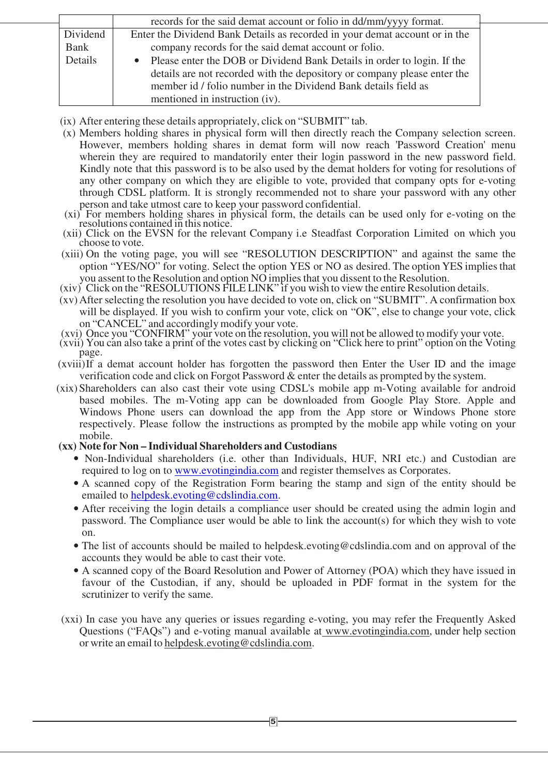|             | records for the said demat account or folio in dd/mm/yyyy format.           |  |  |
|-------------|-----------------------------------------------------------------------------|--|--|
| Dividend    | Enter the Dividend Bank Details as recorded in your demat account or in the |  |  |
| <b>Bank</b> | company records for the said demat account or folio.                        |  |  |
| Details     | • Please enter the DOB or Dividend Bank Details in order to login. If the   |  |  |
|             | details are not recorded with the depository or company please enter the    |  |  |
|             | member id / folio number in the Dividend Bank details field as              |  |  |
|             | mentioned in instruction (iv).                                              |  |  |

- (ix) After entering these details appropriately, click on "SUBMIT" tab.
- (x) Members holding shares in physical form will then directly reach the Company selection screen. However, members holding shares in demat form will now reach 'Password Creation' menu wherein they are required to mandatorily enter their login password in the new password field. Kindly note that this password is to be also used by the demat holders for voting for resolutions of any other company on which they are eligible to vote, provided that company opts for e-voting through CDSL platform. It is strongly recommended not to share your password with any other person and take utmost care to keep your password confidential.
- (xi) For members holding shares in physical form, the details can be used only for e-voting on the resolutions contained in this notice.
- (xii) Click on the EVSN for the relevant Company i.e Steadfast Corporation Limited on which you choose to vote.
- (xiii) On the voting page, you will see "RESOLUTION DESCRIPTION" and against the same the option "YES/NO" for voting. Select the option YES or NO as desired. The option YES implies that you assent to the Resolution and option NO implies that you dissent to the Resolution.
- (xiv) Click on the "RESOLUTIONS FILE LINK" if you wish to view the entire Resolution details.
- (xv)After selecting the resolution you have decided to vote on, click on "SUBMIT". A confirmation box will be displayed. If you wish to confirm your vote, click on "OK", else to change your vote, click on "CANCEL" and accordingly modify your vote.
- (xvi) Once you "CONFIRM" your vote on the resolution, you will not be allowed to modify your vote.
- (xvii) You can also take a print of the votes cast by clicking on "Click here to print" option on the Voting page.
- (xviii)If a demat account holder has forgotten the password then Enter the User ID and the image verification code and click on Forgot Password & enter the details as prompted by the system.
- (xix)Shareholders can also cast their vote using CDSL's mobile app m-Voting available for android based mobiles. The m-Voting app can be downloaded from Google Play Store. Apple and Windows Phone users can download the app from the App store or Windows Phone store respectively. Please follow the instructions as prompted by the mobile app while voting on your mobile.
- **(xx) Note for Non Individual Shareholders and Custodians** 
	- Non-Individual shareholders (i.e. other than Individuals, HUF, NRI etc.) and Custodian are required to log on to www.evotingindia.com and register themselves as Corporates.
	- A scanned copy of the Registration Form bearing the stamp and sign of the entity should be emailed to helpdesk.evoting@cdslindia.com.
	- After receiving the login details a compliance user should be created using the admin login and password. The Compliance user would be able to link the account(s) for which they wish to vote on.
	- The list of accounts should be mailed to helpdesk.evoting@cdslindia.com and on approval of the accounts they would be able to cast their vote.
	- A scanned copy of the Board Resolution and Power of Attorney (POA) which they have issued in favour of the Custodian, if any, should be uploaded in PDF format in the system for the scrutinizer to verify the same.
- (xxi) In case you have any queries or issues regarding e-voting, you may refer the Frequently Asked Questions ("FAQs") and e-voting manual available at www.evotingindia.com, under help section or write an email to helpdesk.evoting@cdslindia.com.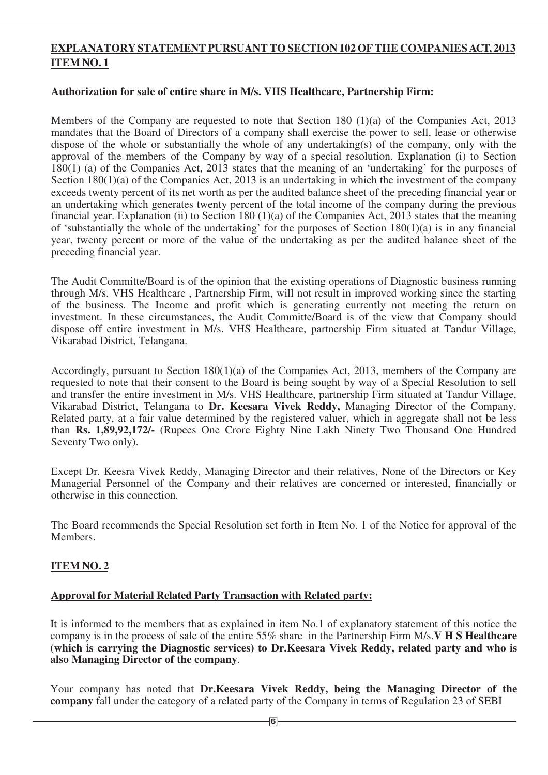## **EXPLANATORY STATEMENT PURSUANT TO SECTION 102 OF THE COMPANIES ACT, 2013 ITEM NO. 1**

## **Authorization for sale of entire share in M/s. VHS Healthcare, Partnership Firm:**

Members of the Company are requested to note that Section 180 (1)(a) of the Companies Act, 2013 mandates that the Board of Directors of a company shall exercise the power to sell, lease or otherwise dispose of the whole or substantially the whole of any undertaking(s) of the company, only with the approval of the members of the Company by way of a special resolution. Explanation (i) to Section 180(1) (a) of the Companies Act, 2013 states that the meaning of an 'undertaking' for the purposes of Section 180(1)(a) of the Companies Act, 2013 is an undertaking in which the investment of the company exceeds twenty percent of its net worth as per the audited balance sheet of the preceding financial year or an undertaking which generates twenty percent of the total income of the company during the previous financial year. Explanation (ii) to Section 180  $(1)(a)$  of the Companies Act, 2013 states that the meaning of 'substantially the whole of the undertaking' for the purposes of Section 180(1)(a) is in any financial year, twenty percent or more of the value of the undertaking as per the audited balance sheet of the preceding financial year.

The Audit Committe/Board is of the opinion that the existing operations of Diagnostic business running through M/s. VHS Healthcare , Partnership Firm, will not result in improved working since the starting of the business. The Income and profit which is generating currently not meeting the return on investment. In these circumstances, the Audit Committe/Board is of the view that Company should dispose off entire investment in M/s. VHS Healthcare, partnership Firm situated at Tandur Village, Vikarabad District, Telangana.

Accordingly, pursuant to Section 180(1)(a) of the Companies Act, 2013, members of the Company are requested to note that their consent to the Board is being sought by way of a Special Resolution to sell and transfer the entire investment in M/s. VHS Healthcare, partnership Firm situated at Tandur Village, Vikarabad District, Telangana to **Dr. Keesara Vivek Reddy,** Managing Director of the Company, Related party, at a fair value determined by the registered valuer, which in aggregate shall not be less than **Rs. 1,89,92,172/-** (Rupees One Crore Eighty Nine Lakh Ninety Two Thousand One Hundred Seventy Two only).

Except Dr. Keesra Vivek Reddy, Managing Director and their relatives, None of the Directors or Key Managerial Personnel of the Company and their relatives are concerned or interested, financially or otherwise in this connection.

The Board recommends the Special Resolution set forth in Item No. 1 of the Notice for approval of the Members.

## **ITEM NO. 2**

## **Approval for Material Related Party Transaction with Related party:**

It is informed to the members that as explained in item No.1 of explanatory statement of this notice the company is in the process of sale of the entire 55% share in the Partnership Firm M/s.**V H S Healthcare (which is carrying the Diagnostic services) to Dr.Keesara Vivek Reddy, related party and who is also Managing Director of the company**.

Your company has noted that **Dr.Keesara Vivek Reddy, being the Managing Director of the company** fall under the category of a related party of the Company in terms of Regulation 23 of SEBI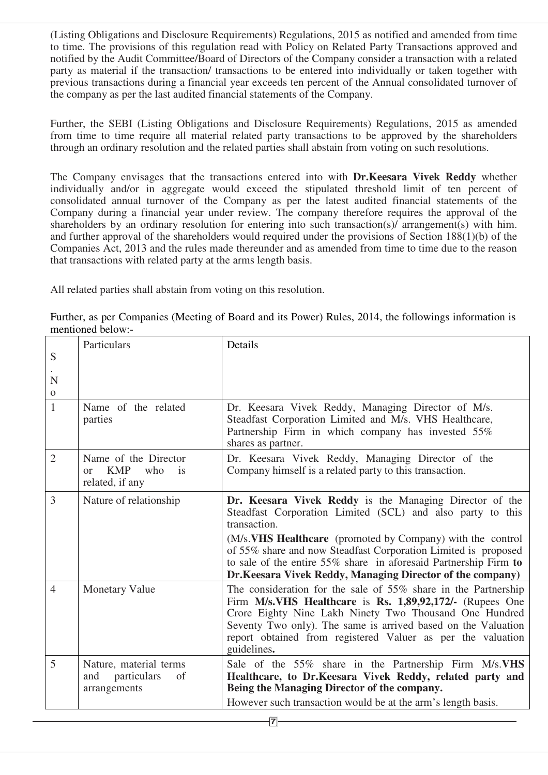(Listing Obligations and Disclosure Requirements) Regulations, 2015 as notified and amended from time to time. The provisions of this regulation read with Policy on Related Party Transactions approved and notified by the Audit Committee/Board of Directors of the Company consider a transaction with a related party as material if the transaction/ transactions to be entered into individually or taken together with previous transactions during a financial year exceeds ten percent of the Annual consolidated turnover of the company as per the last audited financial statements of the Company.

Further, the SEBI (Listing Obligations and Disclosure Requirements) Regulations, 2015 as amended from time to time require all material related party transactions to be approved by the shareholders through an ordinary resolution and the related parties shall abstain from voting on such resolutions.

The Company envisages that the transactions entered into with **Dr.Keesara Vivek Reddy** whether individually and/or in aggregate would exceed the stipulated threshold limit of ten percent of consolidated annual turnover of the Company as per the latest audited financial statements of the Company during a financial year under review. The company therefore requires the approval of the shareholders by an ordinary resolution for entering into such transaction(s)/ arrangement(s) with him. and further approval of the shareholders would required under the provisions of Section 188(1)(b) of the Companies Act, 2013 and the rules made thereunder and as amended from time to time due to the reason that transactions with related party at the arms length basis.

All related parties shall abstain from voting on this resolution.

| S<br>N<br>$\Omega$ | Particulars                                                                    | Details                                                                                                                                                                                                                                                                                                                                                                                                  |
|--------------------|--------------------------------------------------------------------------------|----------------------------------------------------------------------------------------------------------------------------------------------------------------------------------------------------------------------------------------------------------------------------------------------------------------------------------------------------------------------------------------------------------|
| $\mathbf{1}$       | Name of the related<br>parties                                                 | Dr. Keesara Vivek Reddy, Managing Director of M/s.<br>Steadfast Corporation Limited and M/s. VHS Healthcare,<br>Partnership Firm in which company has invested 55%<br>shares as partner.                                                                                                                                                                                                                 |
| $\overline{2}$     | Name of the Director<br><b>KMP</b><br>who<br>is<br>$\alpha$<br>related, if any | Dr. Keesara Vivek Reddy, Managing Director of the<br>Company himself is a related party to this transaction.                                                                                                                                                                                                                                                                                             |
| 3                  | Nature of relationship                                                         | Dr. Keesara Vivek Reddy is the Managing Director of the<br>Steadfast Corporation Limited (SCL) and also party to this<br>transaction.<br>(M/s. VHS Healthcare (promoted by Company) with the control<br>of 55% share and now Steadfast Corporation Limited is proposed<br>to sale of the entire 55% share in aforesaid Partnership Firm to<br>Dr. Keesara Vivek Reddy, Managing Director of the company) |
| $\overline{4}$     | <b>Monetary Value</b>                                                          | The consideration for the sale of 55% share in the Partnership<br>Firm M/s.VHS Healthcare is Rs. 1,89,92,172/- (Rupees One<br>Crore Eighty Nine Lakh Ninety Two Thousand One Hundred<br>Seventy Two only). The same is arrived based on the Valuation<br>report obtained from registered Valuer as per the valuation<br>guidelines.                                                                      |
| 5                  | Nature, material terms<br>and<br>particulars<br>of<br>arrangements             | Sale of the 55% share in the Partnership Firm M/s. VHS<br>Healthcare, to Dr.Keesara Vivek Reddy, related party and<br>Being the Managing Director of the company.<br>However such transaction would be at the arm's length basis.                                                                                                                                                                        |

Further, as per Companies (Meeting of Board and its Power) Rules, 2014, the followings information is mentioned below:-